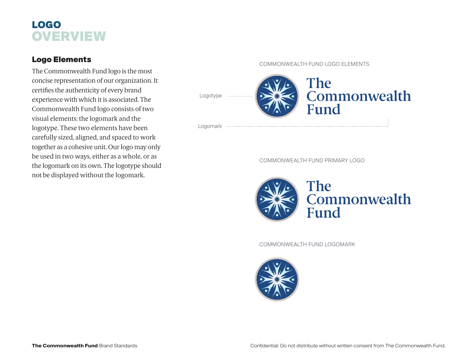# LOGO **OVERVIEW**

## Logo Elements

The Commonwealth Fund logo is the most concise representation of our organization. It certifies the authenticity of every brand experience with which it is associated. The Commonwealth Fund logo consists of two visual elements: the logomark and the logotype. These two elements have been carefully sized, aligned, and spaced to work together as a cohesive unit. Our logo may only be used in two ways, either as a whole, or as the logomark on its own. The logotype should not be displayed without the logomark.

#### COMMONWEALTH FUND LOGO ELEMENTS



COMMONWEALTH FUND PRIMARY LOGO



COMMONWEALTH FUND LOGOMARK

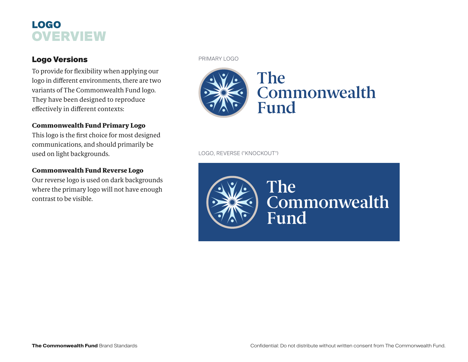# LOGO **OVERVIEW**

## Logo Versions

To provide for flexibility when applying our logo in different environments, there are two variants of The Commonwealth Fund logo. They have been designed to reproduce effectively in different contexts:

### Commonwealth Fund Primary Logo

This logo is the first choice for most designed communications, and should primarily be used on light backgrounds.

### Commonwealth Fund Reverse Logo

Our reverse logo is used on dark backgrounds where the primary logo will not have enough contrast to be visible.

#### PRIMARY LOGO



LOGO, REVERSE ("KNOCKOUT")



Commonwealth Fund